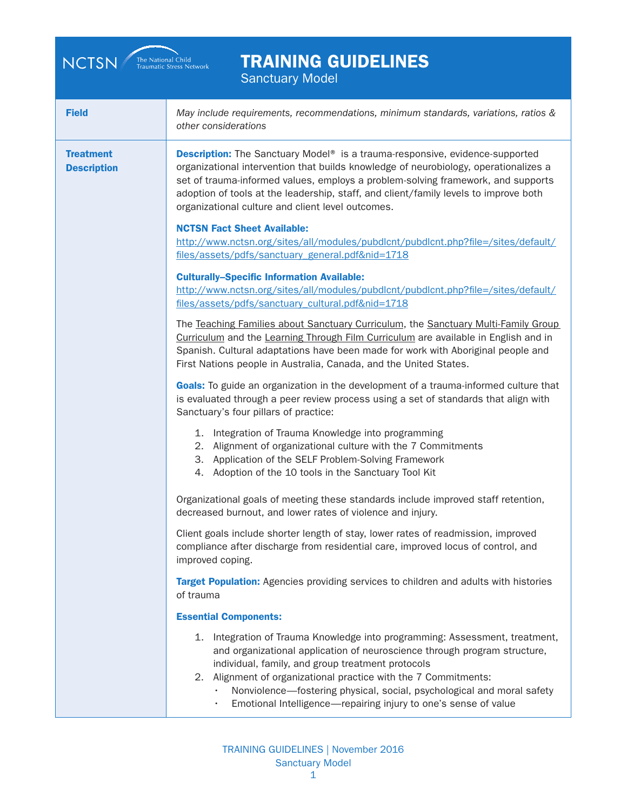| <b>NCTSN</b>                           | <b>TRAINING GUIDELINES</b><br>The National Child<br>Traumatic Stress Network<br><b>Sanctuary Model</b>                                                                                                                                                                                                                                                                                                                              |
|----------------------------------------|-------------------------------------------------------------------------------------------------------------------------------------------------------------------------------------------------------------------------------------------------------------------------------------------------------------------------------------------------------------------------------------------------------------------------------------|
| <b>Field</b>                           | May include requirements, recommendations, minimum standards, variations, ratios &<br>other considerations                                                                                                                                                                                                                                                                                                                          |
| <b>Treatment</b><br><b>Description</b> | <b>Description:</b> The Sanctuary Model <sup>®</sup> is a trauma-responsive, evidence-supported<br>organizational intervention that builds knowledge of neurobiology, operationalizes a<br>set of trauma-informed values, employs a problem-solving framework, and supports<br>adoption of tools at the leadership, staff, and client/family levels to improve both<br>organizational culture and client level outcomes.            |
|                                        | <b>NCTSN Fact Sheet Available:</b><br>http://www.nctsn.org/sites/all/modules/pubdlcnt/pubdlcnt.php?file=/sites/default/<br>files/assets/pdfs/sanctuary_general.pdf&nid=1718                                                                                                                                                                                                                                                         |
|                                        | <b>Culturally-Specific Information Available:</b><br>http://www.nctsn.org/sites/all/modules/pubdlcnt/pubdlcnt.php?file=/sites/default/<br>files/assets/pdfs/sanctuary cultural.pdf&nid=1718                                                                                                                                                                                                                                         |
|                                        | The Teaching Families about Sanctuary Curriculum, the Sanctuary Multi-Family Group<br>Curriculum and the Learning Through Film Curriculum are available in English and in<br>Spanish. Cultural adaptations have been made for work with Aboriginal people and<br>First Nations people in Australia, Canada, and the United States.                                                                                                  |
|                                        | Goals: To guide an organization in the development of a trauma-informed culture that<br>is evaluated through a peer review process using a set of standards that align with<br>Sanctuary's four pillars of practice:                                                                                                                                                                                                                |
|                                        | 1. Integration of Trauma Knowledge into programming<br>2. Alignment of organizational culture with the 7 Commitments<br>3. Application of the SELF Problem-Solving Framework<br>Adoption of the 10 tools in the Sanctuary Tool Kit<br>4.                                                                                                                                                                                            |
|                                        | Organizational goals of meeting these standards include improved staff retention,<br>decreased burnout, and lower rates of violence and injury.                                                                                                                                                                                                                                                                                     |
|                                        | Client goals include shorter length of stay, lower rates of readmission, improved<br>compliance after discharge from residential care, improved locus of control, and<br>improved coping.                                                                                                                                                                                                                                           |
|                                        | Target Population: Agencies providing services to children and adults with histories<br>of trauma                                                                                                                                                                                                                                                                                                                                   |
|                                        | <b>Essential Components:</b>                                                                                                                                                                                                                                                                                                                                                                                                        |
|                                        | 1.<br>Integration of Trauma Knowledge into programming: Assessment, treatment,<br>and organizational application of neuroscience through program structure,<br>individual, family, and group treatment protocols<br>Alignment of organizational practice with the 7 Commitments:<br>2.<br>Nonviolence-fostering physical, social, psychological and moral safety<br>Emotional Intelligence-repairing injury to one's sense of value |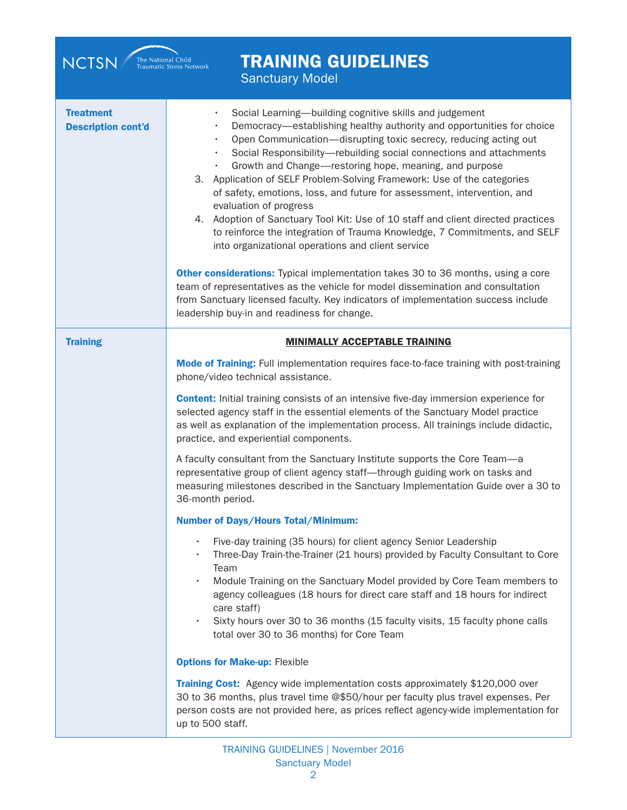| <b>TRAINING GUIDELINES</b><br>The National Child<br>Traumatic Stress Network<br><b>NCTSN</b><br><b>Sanctuary Model</b> |                                                                                                                                                                                                                                                                                                                                                                                                                                                                                                                                                                                                                                                                                                                                                                                                                                                                                                                                                                                                                                                                                               |  |
|------------------------------------------------------------------------------------------------------------------------|-----------------------------------------------------------------------------------------------------------------------------------------------------------------------------------------------------------------------------------------------------------------------------------------------------------------------------------------------------------------------------------------------------------------------------------------------------------------------------------------------------------------------------------------------------------------------------------------------------------------------------------------------------------------------------------------------------------------------------------------------------------------------------------------------------------------------------------------------------------------------------------------------------------------------------------------------------------------------------------------------------------------------------------------------------------------------------------------------|--|
| <b>Treatment</b><br><b>Description cont'd</b>                                                                          | Social Learning-building cognitive skills and judgement<br>Democracy-establishing healthy authority and opportunities for choice<br>Open Communication-disrupting toxic secrecy, reducing acting out<br>$\bullet$<br>Social Responsibility-rebuilding social connections and attachments<br>$\bullet$<br>Growth and Change—restoring hope, meaning, and purpose<br>$\bullet$<br>3. Application of SELF Problem-Solving Framework: Use of the categories<br>of safety, emotions, loss, and future for assessment, intervention, and<br>evaluation of progress<br>4. Adoption of Sanctuary Tool Kit: Use of 10 staff and client directed practices<br>to reinforce the integration of Trauma Knowledge, 7 Commitments, and SELF<br>into organizational operations and client service<br>Other considerations: Typical implementation takes 30 to 36 months, using a core<br>team of representatives as the vehicle for model dissemination and consultation<br>from Sanctuary licensed faculty. Key indicators of implementation success include<br>leadership buy-in and readiness for change. |  |
| <b>Training</b>                                                                                                        | <b>MINIMALLY ACCEPTABLE TRAINING</b>                                                                                                                                                                                                                                                                                                                                                                                                                                                                                                                                                                                                                                                                                                                                                                                                                                                                                                                                                                                                                                                          |  |
|                                                                                                                        | Mode of Training: Full implementation requires face-to-face training with post-training<br>phone/video technical assistance.                                                                                                                                                                                                                                                                                                                                                                                                                                                                                                                                                                                                                                                                                                                                                                                                                                                                                                                                                                  |  |
|                                                                                                                        | <b>Content:</b> Initial training consists of an intensive five-day immersion experience for<br>selected agency staff in the essential elements of the Sanctuary Model practice<br>as well as explanation of the implementation process. All trainings include didactic,<br>practice, and experiential components.                                                                                                                                                                                                                                                                                                                                                                                                                                                                                                                                                                                                                                                                                                                                                                             |  |
|                                                                                                                        | A faculty consultant from the Sanctuary Institute supports the Core Team-a<br>representative group of client agency staff-through guiding work on tasks and<br>measuring milestones described in the Sanctuary Implementation Guide over a 30 to<br>36-month period.                                                                                                                                                                                                                                                                                                                                                                                                                                                                                                                                                                                                                                                                                                                                                                                                                          |  |
|                                                                                                                        | <b>Number of Days/Hours Total/Minimum:</b>                                                                                                                                                                                                                                                                                                                                                                                                                                                                                                                                                                                                                                                                                                                                                                                                                                                                                                                                                                                                                                                    |  |
|                                                                                                                        | Five-day training (35 hours) for client agency Senior Leadership<br>$\bullet$<br>Three-Day Train-the-Trainer (21 hours) provided by Faculty Consultant to Core<br>Team<br>Module Training on the Sanctuary Model provided by Core Team members to<br>$\bullet$                                                                                                                                                                                                                                                                                                                                                                                                                                                                                                                                                                                                                                                                                                                                                                                                                                |  |
|                                                                                                                        | agency colleagues (18 hours for direct care staff and 18 hours for indirect<br>care staff)<br>Sixty hours over 30 to 36 months (15 faculty visits, 15 faculty phone calls<br>$\bullet$<br>total over 30 to 36 months) for Core Team                                                                                                                                                                                                                                                                                                                                                                                                                                                                                                                                                                                                                                                                                                                                                                                                                                                           |  |
|                                                                                                                        | <b>Options for Make-up: Flexible</b>                                                                                                                                                                                                                                                                                                                                                                                                                                                                                                                                                                                                                                                                                                                                                                                                                                                                                                                                                                                                                                                          |  |
|                                                                                                                        | Training Cost: Agency wide implementation costs approximately \$120,000 over                                                                                                                                                                                                                                                                                                                                                                                                                                                                                                                                                                                                                                                                                                                                                                                                                                                                                                                                                                                                                  |  |
|                                                                                                                        | 30 to 36 months, plus travel time @\$50/hour per faculty plus travel expenses. Per<br>person costs are not provided here, as prices reflect agency-wide implementation for<br>up to 500 staff.                                                                                                                                                                                                                                                                                                                                                                                                                                                                                                                                                                                                                                                                                                                                                                                                                                                                                                |  |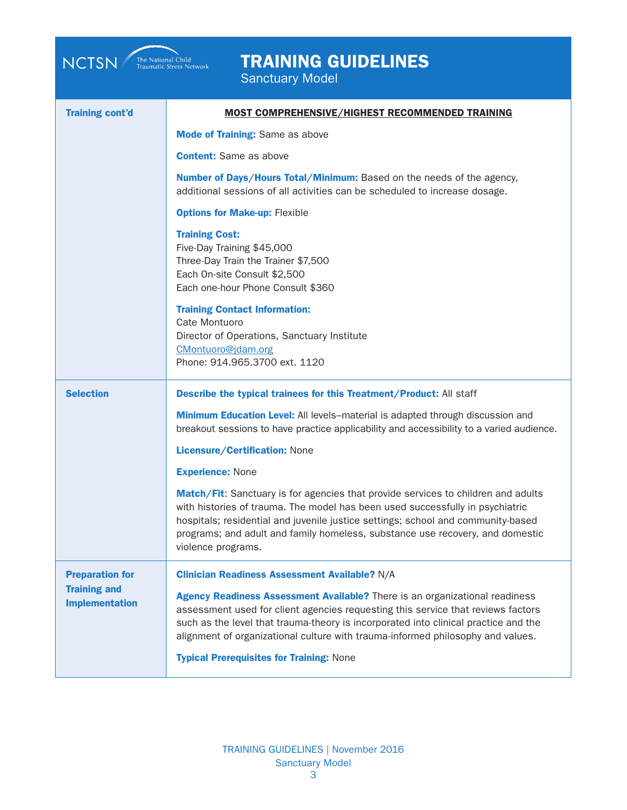| <b>TRAINING GUIDELINES</b><br>The National Child<br>Traumatic Stress Network<br><b>NCTSN</b><br><b>Sanctuary Model</b> |                                                                                                                                                                                                                                                                                                                                                               |  |
|------------------------------------------------------------------------------------------------------------------------|---------------------------------------------------------------------------------------------------------------------------------------------------------------------------------------------------------------------------------------------------------------------------------------------------------------------------------------------------------------|--|
| <b>Training cont'd</b>                                                                                                 | <b>MOST COMPREHENSIVE/HIGHEST RECOMMENDED TRAINING</b>                                                                                                                                                                                                                                                                                                        |  |
|                                                                                                                        | <b>Mode of Training: Same as above</b>                                                                                                                                                                                                                                                                                                                        |  |
|                                                                                                                        | <b>Content:</b> Same as above                                                                                                                                                                                                                                                                                                                                 |  |
|                                                                                                                        | Number of Days/Hours Total/Minimum: Based on the needs of the agency,<br>additional sessions of all activities can be scheduled to increase dosage.                                                                                                                                                                                                           |  |
|                                                                                                                        | <b>Options for Make-up: Flexible</b>                                                                                                                                                                                                                                                                                                                          |  |
|                                                                                                                        | <b>Training Cost:</b><br>Five-Day Training \$45,000<br>Three-Day Train the Trainer \$7,500<br>Each On-site Consult \$2,500<br>Each one-hour Phone Consult \$360                                                                                                                                                                                               |  |
|                                                                                                                        | <b>Training Contact Information:</b><br>Cate Montuoro<br>Director of Operations, Sanctuary Institute<br>CMontuoro@jdam.org<br>Phone: 914.965.3700 ext. 1120                                                                                                                                                                                                   |  |
| <b>Selection</b>                                                                                                       | Describe the typical trainees for this Treatment/Product: All staff                                                                                                                                                                                                                                                                                           |  |
|                                                                                                                        | <b>Minimum Education Level:</b> All levels-material is adapted through discussion and<br>breakout sessions to have practice applicability and accessibility to a varied audience.                                                                                                                                                                             |  |
|                                                                                                                        | Licensure/Certification: None                                                                                                                                                                                                                                                                                                                                 |  |
|                                                                                                                        | <b>Experience: None</b>                                                                                                                                                                                                                                                                                                                                       |  |
|                                                                                                                        | Match/Fit: Sanctuary is for agencies that provide services to children and adults<br>with histories of trauma. The model has been used successfully in psychiatric<br>hospitals; residential and juvenile justice settings; school and community-based<br>programs; and adult and family homeless, substance use recovery, and domestic<br>violence programs. |  |
| <b>Preparation for</b>                                                                                                 | <b>Clinician Readiness Assessment Available?</b> N/A                                                                                                                                                                                                                                                                                                          |  |
| <b>Training and</b><br><b>Implementation</b>                                                                           | <b>Agency Readiness Assessment Available?</b> There is an organizational readiness<br>assessment used for client agencies requesting this service that reviews factors<br>such as the level that trauma-theory is incorporated into clinical practice and the<br>alignment of organizational culture with trauma-informed philosophy and values.              |  |
|                                                                                                                        | <b>Typical Prerequisites for Training: None</b>                                                                                                                                                                                                                                                                                                               |  |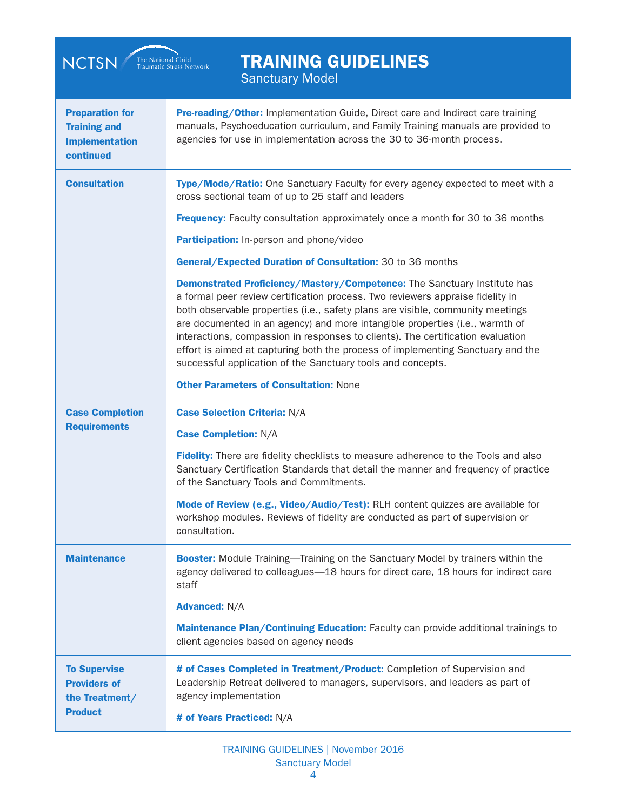| <b>TRAINING GUIDELINES</b><br><b>NCTSN</b><br>The National Child<br>Traumatic Stress Network<br><b>Sanctuary Model</b> |                                                                                                                                                                                                                                                                                                                                                                                                                                                                                                                                                                   |  |
|------------------------------------------------------------------------------------------------------------------------|-------------------------------------------------------------------------------------------------------------------------------------------------------------------------------------------------------------------------------------------------------------------------------------------------------------------------------------------------------------------------------------------------------------------------------------------------------------------------------------------------------------------------------------------------------------------|--|
| <b>Preparation for</b><br><b>Training and</b><br><b>Implementation</b><br>continued                                    | Pre-reading/Other: Implementation Guide, Direct care and Indirect care training<br>manuals, Psychoeducation curriculum, and Family Training manuals are provided to<br>agencies for use in implementation across the 30 to 36-month process.                                                                                                                                                                                                                                                                                                                      |  |
| <b>Consultation</b>                                                                                                    | Type/Mode/Ratio: One Sanctuary Faculty for every agency expected to meet with a<br>cross sectional team of up to 25 staff and leaders                                                                                                                                                                                                                                                                                                                                                                                                                             |  |
|                                                                                                                        | <b>Frequency:</b> Faculty consultation approximately once a month for 30 to 36 months                                                                                                                                                                                                                                                                                                                                                                                                                                                                             |  |
|                                                                                                                        | Participation: In-person and phone/video                                                                                                                                                                                                                                                                                                                                                                                                                                                                                                                          |  |
|                                                                                                                        | General/Expected Duration of Consultation: 30 to 36 months                                                                                                                                                                                                                                                                                                                                                                                                                                                                                                        |  |
|                                                                                                                        | Demonstrated Proficiency/Mastery/Competence: The Sanctuary Institute has<br>a formal peer review certification process. Two reviewers appraise fidelity in<br>both observable properties (i.e., safety plans are visible, community meetings<br>are documented in an agency) and more intangible properties (i.e., warmth of<br>interactions, compassion in responses to clients). The certification evaluation<br>effort is aimed at capturing both the process of implementing Sanctuary and the<br>successful application of the Sanctuary tools and concepts. |  |
|                                                                                                                        | <b>Other Parameters of Consultation: None</b>                                                                                                                                                                                                                                                                                                                                                                                                                                                                                                                     |  |
| <b>Case Completion</b>                                                                                                 | <b>Case Selection Criteria: N/A</b>                                                                                                                                                                                                                                                                                                                                                                                                                                                                                                                               |  |
| <b>Requirements</b>                                                                                                    | <b>Case Completion: N/A</b>                                                                                                                                                                                                                                                                                                                                                                                                                                                                                                                                       |  |
|                                                                                                                        | Fidelity: There are fidelity checklists to measure adherence to the Tools and also<br>Sanctuary Certification Standards that detail the manner and frequency of practice<br>of the Sanctuary Tools and Commitments.                                                                                                                                                                                                                                                                                                                                               |  |
|                                                                                                                        | Mode of Review (e.g., Video/Audio/Test): RLH content quizzes are available for<br>workshop modules. Reviews of fidelity are conducted as part of supervision or<br>consultation.                                                                                                                                                                                                                                                                                                                                                                                  |  |
| <b>Maintenance</b>                                                                                                     | <b>Booster:</b> Module Training—Training on the Sanctuary Model by trainers within the<br>agency delivered to colleagues-18 hours for direct care, 18 hours for indirect care<br>staff                                                                                                                                                                                                                                                                                                                                                                            |  |
|                                                                                                                        | <b>Advanced: N/A</b>                                                                                                                                                                                                                                                                                                                                                                                                                                                                                                                                              |  |
|                                                                                                                        | Maintenance Plan/Continuing Education: Faculty can provide additional trainings to<br>client agencies based on agency needs                                                                                                                                                                                                                                                                                                                                                                                                                                       |  |
| <b>To Supervise</b><br><b>Providers of</b><br>the Treatment/<br><b>Product</b>                                         | # of Cases Completed in Treatment/Product: Completion of Supervision and<br>Leadership Retreat delivered to managers, supervisors, and leaders as part of<br>agency implementation                                                                                                                                                                                                                                                                                                                                                                                |  |
|                                                                                                                        | # of Years Practiced: N/A                                                                                                                                                                                                                                                                                                                                                                                                                                                                                                                                         |  |